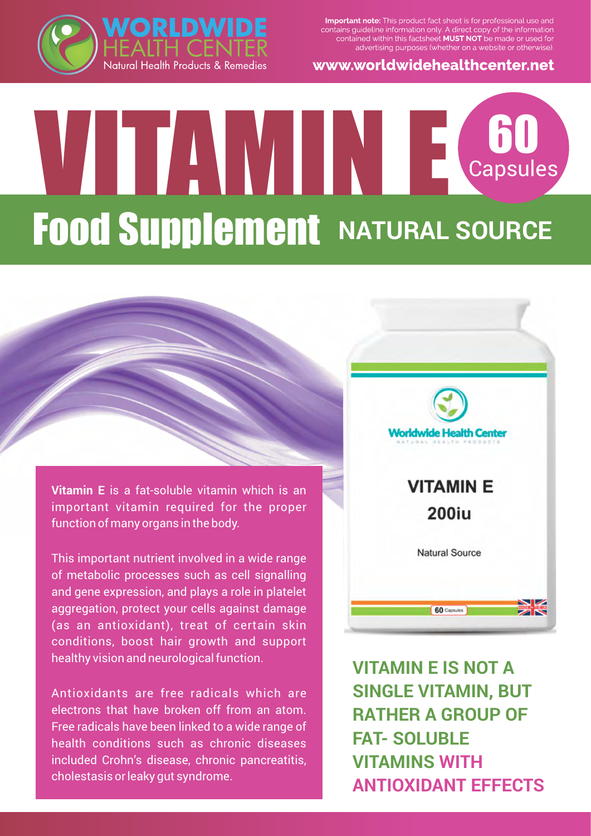

www.worldwidehealthcenter.net



## VITAMIN E Capsules **Food Supplement NATURAL SOURCE**

**Vitamin E** is a fat-soluble vitamin which is an important vitamin required for the proper function of many organs in the body.

This important nutrient involved in a wide range of metabolic processes such as cell signalling and gene expression, and plays a role in platelet aggregation, protect your cells against damage (as an antioxidant), treat of certain skin conditions, boost hair growth and support healthy vision and neurological function.

Antioxidants are free radicals which are electrons that have broken off from an atom. Free radicals have been linked to a wide range of health conditions such as chronic diseases included Crohn's disease, chronic pancreatitis, cholestasis or leaky gut syndrome.



**VITAMIN E IS NOT A SINGLE VITAMIN, BUT RATHER A GROUP OF FAT- SOLUBLE VITAMINS WITH ANTIOXIDANT EFFECTS**